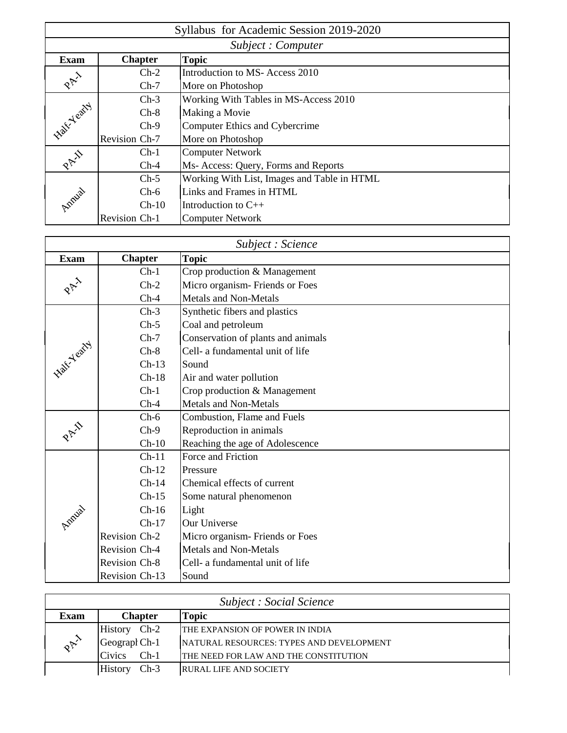| Syllabus for Academic Session 2019-2020 |                    |                                             |  |  |  |
|-----------------------------------------|--------------------|---------------------------------------------|--|--|--|
|                                         | Subject : Computer |                                             |  |  |  |
| <b>Exam</b>                             | <b>Chapter</b>     | <b>Topic</b>                                |  |  |  |
|                                         | $Ch-2$             | Introduction to MS-Access 2010              |  |  |  |
| PAY                                     | $Ch-7$             | More on Photoshop                           |  |  |  |
|                                         | $Ch-3$             | Working With Tables in MS-Access 2010       |  |  |  |
|                                         | $Ch-8$             | Making a Movie                              |  |  |  |
| <b>Kall</b> Yeary                       | $Ch-9$             | Computer Ethics and Cybercrime              |  |  |  |
|                                         | Revision Ch-7      | More on Photoshop                           |  |  |  |
|                                         | $Ch-1$             | <b>Computer Network</b>                     |  |  |  |
| PAI                                     | $Ch-4$             | Ms- Access: Query, Forms and Reports        |  |  |  |
|                                         | $Ch-5$             | Working With List, Images and Table in HTML |  |  |  |
| Amilal                                  | $Ch-6$             | Links and Frames in HTML                    |  |  |  |
|                                         | $Ch-10$            | Introduction to $C_{++}$                    |  |  |  |
|                                         | Revision Ch-1      | <b>Computer Network</b>                     |  |  |  |

| Subject : Science |                |                                    |  |  |
|-------------------|----------------|------------------------------------|--|--|
| <b>Exam</b>       | <b>Chapter</b> | <b>Topic</b>                       |  |  |
|                   | $Ch-1$         | Crop production & Management       |  |  |
|                   | $Ch-2$         | Micro organism-Friends or Foes     |  |  |
|                   | $Ch-4$         | <b>Metals and Non-Metals</b>       |  |  |
|                   | $Ch-3$         | Synthetic fibers and plastics      |  |  |
|                   | $Ch-5$         | Coal and petroleum                 |  |  |
|                   | $Ch-7$         | Conservation of plants and animals |  |  |
| W. Yeary          | $Ch-8$         | Cell- a fundamental unit of life   |  |  |
|                   | $Ch-13$        | Sound                              |  |  |
|                   | $Ch-18$        | Air and water pollution            |  |  |
|                   | $Ch-1$         | Crop production & Management       |  |  |
|                   | $Ch-4$         | <b>Metals and Non-Metals</b>       |  |  |
|                   | $Ch-6$         | Combustion, Flame and Fuels        |  |  |
| PAY               | $Ch-9$         | Reproduction in animals            |  |  |
|                   | $Ch-10$        | Reaching the age of Adolescence    |  |  |
|                   | $Ch-11$        | Force and Friction                 |  |  |
|                   | $Ch-12$        | Pressure                           |  |  |
|                   | $Ch-14$        | Chemical effects of current        |  |  |
|                   | $Ch-15$        | Some natural phenomenon            |  |  |
| Azpizial          | $Ch-16$        | Light                              |  |  |
|                   | $Ch-17$        | <b>Our Universe</b>                |  |  |
|                   | Revision Ch-2  | Micro organism-Friends or Foes     |  |  |
|                   | Revision Ch-4  | <b>Metals and Non-Metals</b>       |  |  |
|                   | Revision Ch-8  | Cell- a fundamental unit of life   |  |  |
|                   | Revision Ch-13 | Sound                              |  |  |

| <b>Subject : Social Science</b> |                          |                                                 |  |  |
|---------------------------------|--------------------------|-------------------------------------------------|--|--|
| Exam                            | <b>Chapter</b><br>Topic  |                                                 |  |  |
| $\mathcal{R}$                   | $Ch-2$<br><b>History</b> | THE EXPANSION OF POWER IN INDIA                 |  |  |
|                                 | Geograph Ch-1            | <b>NATURAL RESOURCES: TYPES AND DEVELOPMENT</b> |  |  |
|                                 | $Ch-1$<br><b>Civics</b>  | THE NEED FOR LAW AND THE CONSTITUTION           |  |  |
|                                 | $Ch-3$<br><b>History</b> | <b>RURAL LIFE AND SOCIETY</b>                   |  |  |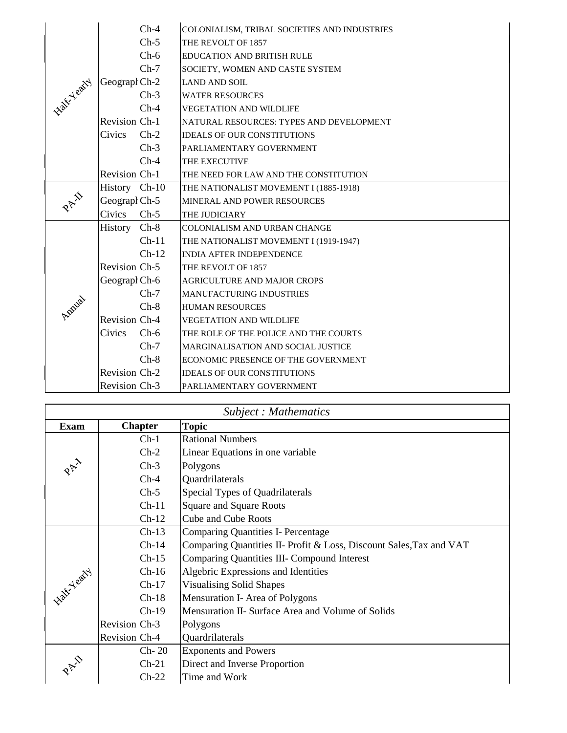|                   |               | $Ch-4$  | COLONIALISM, TRIBAL SOCIETIES AND INDUSTRIES |
|-------------------|---------------|---------|----------------------------------------------|
|                   |               | $Ch-5$  | THE REVOLT OF 1857                           |
|                   |               | $Ch-6$  | <b>EDUCATION AND BRITISH RULE</b>            |
|                   |               | $Ch-7$  | SOCIETY, WOMEN AND CASTE SYSTEM              |
| <b>Kish-Yeary</b> | Geograph Ch-2 |         | <b>LAND AND SOIL</b>                         |
|                   |               | $Ch-3$  | <b>WATER RESOURCES</b>                       |
|                   |               | $Ch-4$  | <b>VEGETATION AND WILDLIFE</b>               |
|                   | Revision Ch-1 |         | NATURAL RESOURCES: TYPES AND DEVELOPMENT     |
|                   | Civics        | $Ch-2$  | <b>IDEALS OF OUR CONSTITUTIONS</b>           |
|                   |               | $Ch-3$  | PARLIAMENTARY GOVERNMENT                     |
|                   |               | $Ch-4$  | THE EXECUTIVE                                |
|                   | Revision Ch-1 |         | THE NEED FOR LAW AND THE CONSTITUTION        |
|                   | History Ch-10 |         | THE NATIONALIST MOVEMENT I (1885-1918)       |
| PAI               | Geograph Ch-5 |         | MINERAL AND POWER RESOURCES                  |
|                   | Civics        | $Ch-5$  | THE JUDICIARY                                |
|                   | History Ch-8  |         | COLONIALISM AND URBAN CHANGE                 |
|                   |               | $Ch-11$ | THE NATIONALIST MOVEMENT I (1919-1947)       |
|                   |               | $Ch-12$ | <b>INDIA AFTER INDEPENDENCE</b>              |
|                   | Revision Ch-5 |         | THE REVOLT OF 1857                           |
|                   | Geograph Ch-6 |         | <b>AGRICULTURE AND MAJOR CROPS</b>           |
|                   |               | $Ch-7$  | <b>MANUFACTURING INDUSTRIES</b>              |
| Antural           |               | $Ch-8$  | <b>HUMAN RESOURCES</b>                       |
|                   | Revision Ch-4 |         | <b>VEGETATION AND WILDLIFE</b>               |
|                   | Civics        | $Ch-6$  | THE ROLE OF THE POLICE AND THE COURTS        |
|                   |               | $Ch-7$  | MARGINALISATION AND SOCIAL JUSTICE           |
|                   |               | $Ch-8$  | ECONOMIC PRESENCE OF THE GOVERNMENT          |
|                   | Revision Ch-2 |         | <b>IDEALS OF OUR CONSTITUTIONS</b>           |
|                   | Revision Ch-3 |         | PARLIAMENTARY GOVERNMENT                     |

| Subject: Mathematics |                |                                                                     |  |
|----------------------|----------------|---------------------------------------------------------------------|--|
| <b>Exam</b>          | <b>Chapter</b> | <b>Topic</b>                                                        |  |
|                      | $Ch-1$         | <b>Rational Numbers</b>                                             |  |
|                      | $Ch-2$         | Linear Equations in one variable                                    |  |
|                      | $Ch-3$         | Polygons                                                            |  |
|                      | $Ch-4$         | Quardrilaterals                                                     |  |
|                      | $Ch-5$         | Special Types of Quadrilaterals                                     |  |
|                      | $Ch-11$        | <b>Square and Square Roots</b>                                      |  |
|                      | $Ch-12$        | <b>Cube and Cube Roots</b>                                          |  |
| latt Yearty          | $Ch-13$        | <b>Comparing Quantities I- Percentage</b>                           |  |
|                      | $Ch-14$        | Comparing Quantities II- Profit & Loss, Discount Sales, Tax and VAT |  |
|                      | $Ch-15$        | <b>Comparing Quantities III- Compound Interest</b>                  |  |
|                      | $Ch-16$        | Algebric Expressions and Identities                                 |  |
|                      | $Ch-17$        | <b>Visualising Solid Shapes</b>                                     |  |
|                      | $Ch-18$        | Mensuration I- Area of Polygons                                     |  |
|                      | $Ch-19$        | Mensuration II- Surface Area and Volume of Solids                   |  |
|                      | Revision Ch-3  | Polygons                                                            |  |
|                      | Revision Ch-4  | Quardrilaterals                                                     |  |
|                      | $Ch-20$        | <b>Exponents and Powers</b>                                         |  |
|                      | $Ch-21$        | Direct and Inverse Proportion                                       |  |
|                      | $Ch-22$        | Time and Work                                                       |  |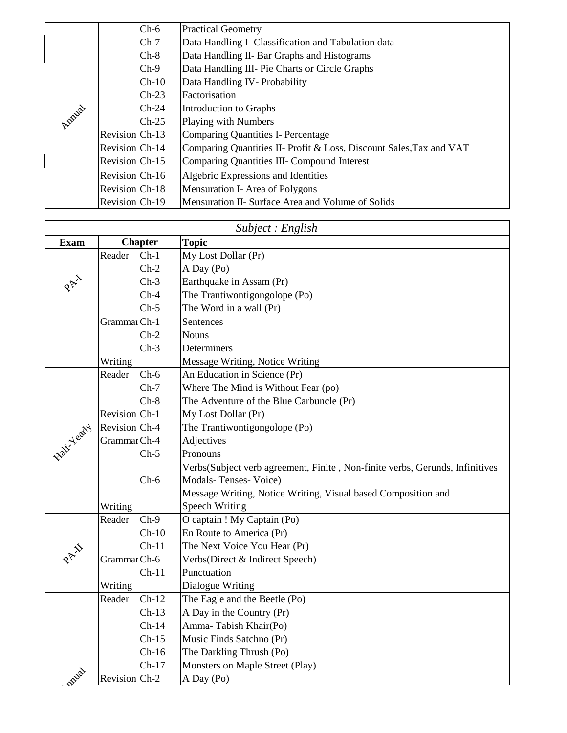|        | $Ch-6$                | <b>Practical Geometry</b>                                           |
|--------|-----------------------|---------------------------------------------------------------------|
|        | $Ch-7$                | Data Handling I- Classification and Tabulation data                 |
|        | $Ch-8$                | Data Handling II- Bar Graphs and Histograms                         |
|        | $Ch-9$                | Data Handling III- Pie Charts or Circle Graphs                      |
|        | $Ch-10$               | Data Handling IV-Probability                                        |
|        | $Ch-23$               | Factorisation                                                       |
|        | $Ch-24$               | Introduction to Graphs                                              |
| Annial | $Ch-25$               | Playing with Numbers                                                |
|        | Revision Ch-13        | Comparing Quantities I- Percentage                                  |
|        | Revision Ch-14        | Comparing Quantities II- Profit & Loss, Discount Sales, Tax and VAT |
|        | <b>Revision Ch-15</b> | Comparing Quantities III- Compound Interest                         |
|        | Revision Ch-16        | Algebric Expressions and Identities                                 |
|        | <b>Revision Ch-18</b> | Mensuration I- Area of Polygons                                     |
|        | Revision Ch-19        | Mensuration II- Surface Area and Volume of Solids                   |

| Subject : English  |               |                |                                                                               |  |
|--------------------|---------------|----------------|-------------------------------------------------------------------------------|--|
| <b>Exam</b>        |               | <b>Chapter</b> | <b>Topic</b>                                                                  |  |
|                    | Reader        | $Ch-1$         | My Lost Dollar (Pr)                                                           |  |
|                    |               | $Ch-2$         | A Day (Po)                                                                    |  |
|                    |               | $Ch-3$         | Earthquake in Assam (Pr)                                                      |  |
|                    |               | $Ch-4$         | The Trantiwontigongolope (Po)                                                 |  |
|                    |               | $Ch-5$         | The Word in a wall (Pr)                                                       |  |
|                    | Grammar Ch-1  |                | Sentences                                                                     |  |
|                    |               | $Ch-2$         | <b>Nouns</b>                                                                  |  |
|                    |               | $Ch-3$         | Determiners                                                                   |  |
|                    | Writing       |                | Message Writing, Notice Writing                                               |  |
|                    | Reader        | $Ch-6$         | An Education in Science (Pr)                                                  |  |
|                    |               | $Ch-7$         | Where The Mind is Without Fear (po)                                           |  |
|                    |               | $Ch-8$         | The Adventure of the Blue Carbuncle (Pr)                                      |  |
|                    | Revision Ch-1 |                | My Lost Dollar (Pr)                                                           |  |
|                    | Revision Ch-4 |                | The Trantiwontigongolope (Po)                                                 |  |
| <b>Half-Yearty</b> | Grammar Ch-4  |                | Adjectives                                                                    |  |
|                    |               | $Ch-5$         | Pronouns                                                                      |  |
|                    |               |                | Verbs (Subject verb agreement, Finite, Non-finite verbs, Gerunds, Infinitives |  |
|                    |               | $Ch-6$         | Modals-Tenses-Voice)                                                          |  |
|                    |               |                | Message Writing, Notice Writing, Visual based Composition and                 |  |
|                    | Writing       |                | <b>Speech Writing</b>                                                         |  |
|                    | Reader        | $Ch-9$         | O captain ! My Captain (Po)                                                   |  |
|                    |               | $Ch-10$        | En Route to America (Pr)                                                      |  |
|                    |               | $Ch-11$        | The Next Voice You Hear (Pr)                                                  |  |
|                    | Grammar Ch-6  |                | Verbs(Direct & Indirect Speech)                                               |  |
|                    |               | $Ch-11$        | Punctuation                                                                   |  |
|                    | Writing       |                | Dialogue Writing                                                              |  |
|                    | Reader        | $Ch-12$        | The Eagle and the Beetle (Po)                                                 |  |
|                    |               | $Ch-13$        | A Day in the Country (Pr)                                                     |  |
|                    |               | $Ch-14$        | Amma-Tabish Khair(Po)                                                         |  |
|                    |               | $Ch-15$        | Music Finds Satchno (Pr)                                                      |  |
|                    |               | $Ch-16$        | The Darkling Thrush (Po)                                                      |  |
|                    |               | $Ch-17$        | Monsters on Maple Street (Play)                                               |  |
| nnual              | Revision Ch-2 |                | A Day (Po)                                                                    |  |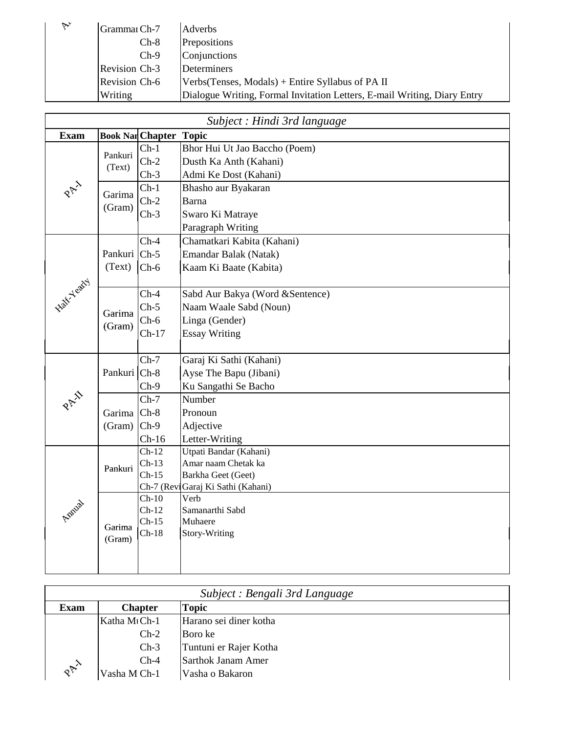| $\triangledown$ | Grammar Ch-7         | Adverbs                                                                  |
|-----------------|----------------------|--------------------------------------------------------------------------|
|                 | $Ch-8$               | Prepositions                                                             |
|                 | $Ch-9$               | Conjunctions                                                             |
|                 | Revision Ch-3        | Determiners                                                              |
|                 | <b>Revision Ch-6</b> | Verbs (Tenses, Modals) + Entire Syllabus of PA II                        |
|                 | Writing              | Dialogue Writing, Formal Invitation Letters, E-mail Writing, Diary Entry |

| Subject : Hindi 3rd language |                         |                               |                                   |  |
|------------------------------|-------------------------|-------------------------------|-----------------------------------|--|
| <b>Exam</b>                  |                         | <b>Book Nar Chapter Topic</b> |                                   |  |
|                              |                         | $Ch-1$                        | Bhor Hui Ut Jao Baccho (Poem)     |  |
|                              | Pankuri                 | $Ch-2$                        | Dusth Ka Anth (Kahani)            |  |
|                              | (Text)                  | $Ch-3$                        | Admi Ke Dost (Kahani)             |  |
| PAI                          |                         | $Ch-1$                        | Bhasho aur Byakaran               |  |
|                              | Garima                  | $Ch-2$                        | <b>Barna</b>                      |  |
|                              | (Gram)                  | $Ch-3$                        | Swaro Ki Matraye                  |  |
|                              |                         |                               | Paragraph Writing                 |  |
|                              |                         | $Ch-4$                        | Chamatkari Kabita (Kahani)        |  |
|                              | Pankuri Ch-5            |                               | Emandar Balak (Natak)             |  |
|                              | (Text)                  | $Ch-6$                        | Kaam Ki Baate (Kabita)            |  |
| <b>Half-Yearty</b>           |                         |                               |                                   |  |
|                              |                         | $Ch-4$                        | Sabd Aur Bakya (Word & Sentence)  |  |
|                              |                         | $Ch-5$                        | Naam Waale Sabd (Noun)            |  |
|                              | Garima                  | $Ch-6$                        | Linga (Gender)                    |  |
|                              | (Gram)                  | $Ch-17$                       | <b>Essay Writing</b>              |  |
|                              |                         |                               |                                   |  |
|                              |                         | $Ch-7$                        | Garaj Ki Sathi (Kahani)           |  |
|                              | Pankuri Ch-8            |                               | Ayse The Bapu (Jibani)            |  |
|                              |                         | $Ch-9$                        | Ku Sangathi Se Bacho              |  |
| PAI                          |                         | $Ch-7$                        | Number                            |  |
|                              | Garima <sup> Ch-8</sup> |                               | Pronoun                           |  |
|                              | $(Gram)$ Ch-9           |                               | Adjective                         |  |
|                              |                         | $Ch-16$                       | Letter-Writing                    |  |
|                              |                         | $Ch-12$                       | Utpati Bandar (Kahani)            |  |
|                              | Pankuri                 | $Ch-13$                       | Amar naam Chetak ka               |  |
|                              |                         | $Ch-15$                       | Barkha Geet (Geet)                |  |
| Annia                        |                         |                               | Ch-7 (ReviGaraj Ki Sathi (Kahani) |  |
|                              |                         | $Ch-10$                       | Verb                              |  |
|                              |                         | $Ch-12$<br>$Ch-15$            | Samanarthi Sabd<br>Muhaere        |  |
|                              | Garima                  | $Ch-18$                       | Story-Writing                     |  |
|                              | (Gram)                  |                               |                                   |  |
|                              |                         |                               |                                   |  |
|                              |                         |                               |                                   |  |

| Subject : Bengali 3rd Language |                                |                        |  |  |
|--------------------------------|--------------------------------|------------------------|--|--|
| <b>Exam</b>                    | <b>Chapter</b><br><b>Topic</b> |                        |  |  |
|                                | Katha MtCh-1                   | Harano sei diner kotha |  |  |
|                                | $Ch-2$                         | Boro ke                |  |  |
|                                | $Ch-3$                         | Tuntuni er Rajer Kotha |  |  |
|                                | $Ch-4$                         | Sarthok Janam Amer     |  |  |
| $R_{\textrm{R}}^{\textrm{R}}$  | Vasha M Ch-1                   | Vasha o Bakaron        |  |  |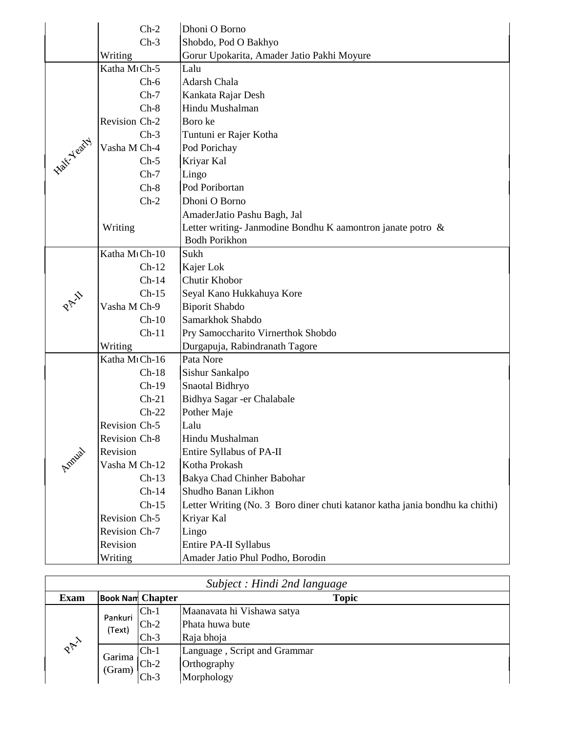|            | $Ch-2$                     | Dhoni O Borno                                                                |
|------------|----------------------------|------------------------------------------------------------------------------|
|            | $Ch-3$                     | Shobdo, Pod O Bakhyo                                                         |
|            | Writing                    | Gorur Upokarita, Amader Jatio Pakhi Moyure                                   |
|            | Katha M <sub>1</sub> Ch-5  | Lalu                                                                         |
|            | $Ch-6$                     | Adarsh Chala                                                                 |
|            | $Ch-7$                     | Kankata Rajar Desh                                                           |
|            | $Ch-8$                     | Hindu Mushalman                                                              |
|            | Revision Ch-2              | Boro ke                                                                      |
|            | $Ch-3$                     | Tuntuni er Rajer Kotha                                                       |
| Half-Yeary | Vasha M Ch-4               | Pod Porichay                                                                 |
|            | $Ch-5$                     | Kriyar Kal                                                                   |
|            | $Ch-7$                     | Lingo                                                                        |
|            | $Ch-8$                     | Pod Poribortan                                                               |
|            | $Ch-2$                     | Dhoni O Borno                                                                |
|            |                            | AmaderJatio Pashu Bagh, Jal                                                  |
|            | Writing                    | Letter writing-Janmodine Bondhu K aamontron janate potro $\&$                |
|            |                            | <b>Bodh Porikhon</b>                                                         |
|            | Katha M <sub>1</sub> Ch-10 | Sukh                                                                         |
|            | $Ch-12$                    | Kajer Lok                                                                    |
|            | $Ch-14$                    | Chutir Khobor                                                                |
| PAY        | $Ch-15$                    | Seyal Kano Hukkahuya Kore                                                    |
|            | Vasha M Ch-9               | <b>Biporit Shabdo</b>                                                        |
|            | $Ch-10$                    | Samarkhok Shabdo                                                             |
|            | $Ch-11$                    | Pry Samoccharito Virnerthok Shobdo                                           |
|            | Writing                    | Durgapuja, Rabindranath Tagore                                               |
|            | Katha M <sub>1</sub> Ch-16 | Pata Nore                                                                    |
|            | $Ch-18$                    | Sishur Sankalpo                                                              |
|            | $Ch-19$                    | Snaotal Bidhryo                                                              |
|            | $Ch-21$                    | Bidhya Sagar - er Chalabale                                                  |
|            | $Ch-22$                    | Pother Maje                                                                  |
|            | Revision Ch-5              | Lalu                                                                         |
|            | Revision Ch-8              | Hindu Mushalman                                                              |
| Annial     | Revision                   | Entire Syllabus of PA-II                                                     |
|            | Vasha M Ch-12              | Kotha Prokash                                                                |
|            | $Ch-13$                    | Bakya Chad Chinher Babohar                                                   |
|            | $Ch-14$                    | Shudho Banan Likhon                                                          |
|            | $Ch-15$                    | Letter Writing (No. 3 Boro diner chuti katanor katha jania bondhu ka chithi) |
|            | Revision Ch-5              | Kriyar Kal                                                                   |
|            | Revision Ch-7              | Lingo                                                                        |
|            | Revision                   | Entire PA-II Syllabus                                                        |
|            | Writing                    | Amader Jatio Phul Podho, Borodin                                             |

| Subject : Hindi 2nd language  |                   |                         |                              |  |  |
|-------------------------------|-------------------|-------------------------|------------------------------|--|--|
| <b>Exam</b>                   |                   | <b>Book Nam Chapter</b> | <b>Topic</b>                 |  |  |
|                               | Pankuri<br>(Text) | $Ch-1$                  | Maanavata hi Vishawa satya   |  |  |
|                               |                   | $Ch-2$                  | Phata huwa bute              |  |  |
|                               |                   | $Ch-3$                  | Raja bhoja                   |  |  |
| $R_{\textrm{P}}^{\textrm{P}}$ | Garima<br>(Gram)  | $Ch-1$                  | Language, Script and Grammar |  |  |
|                               |                   | $Ch-2$                  | Orthography                  |  |  |
|                               |                   | $Ch-3$                  | Morphology                   |  |  |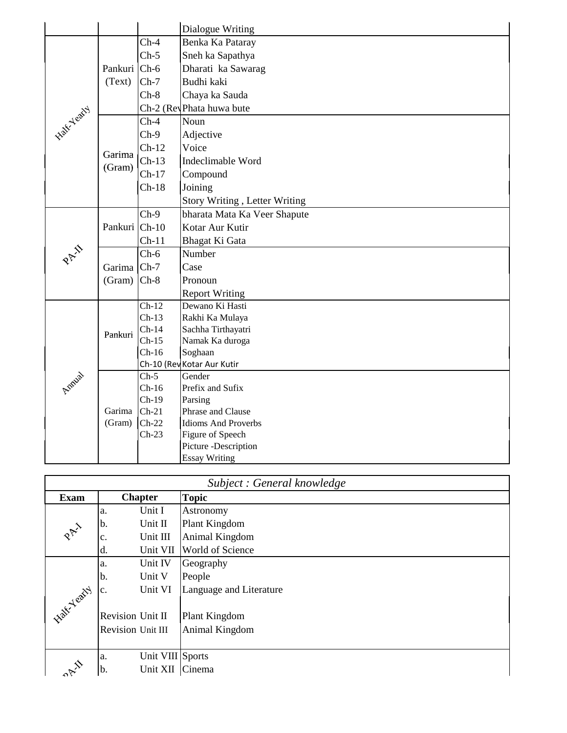|            |               |                    | Dialogue Writing              |
|------------|---------------|--------------------|-------------------------------|
|            |               | $Ch-4$             | Benka Ka Pataray              |
|            |               | $Ch-5$             | Sneh ka Sapathya              |
|            | Pankuri Ch-6  |                    | Dharati ka Sawarag            |
|            | (Text)        | $Ch-7$             | Budhi kaki                    |
|            |               | $Ch-8$             | Chaya ka Sauda                |
| Half-Yeary |               |                    | Ch-2 (Rey Phata huwa bute     |
|            |               | $Ch-4$             | Noun                          |
|            |               | $Ch-9$             | Adjective                     |
|            |               | $Ch-12$            | Voice                         |
|            | Garima        | $Ch-13$            | Indeclimable Word             |
|            | (Gram)        | $Ch-17$            | Compound                      |
|            |               | $Ch-18$            | Joining                       |
|            |               |                    | Story Writing, Letter Writing |
|            | Pankuri Ch-10 | $Ch-9$             | bharata Mata Ka Veer Shapute  |
|            |               |                    | Kotar Aur Kutir               |
|            |               | $Ch-11$            | Bhagat Ki Gata                |
| PAI        |               | $Ch-6$             | Number                        |
|            | Garima Ch-7   |                    | Case                          |
|            | $(Gram)$ Ch-8 |                    | Pronoun                       |
|            |               |                    | <b>Report Writing</b>         |
|            | Pankuri       | $Ch-12$            | Dewano Ki Hasti               |
|            |               | $Ch-13$            | Rakhi Ka Mulaya               |
|            |               | $Ch-14$            | Sachha Tirthayatri            |
|            |               | $Ch-15$            | Namak Ka duroga               |
|            |               | $Ch-16$            | Soghaan                       |
|            |               |                    | Ch-10 (Rev Kotar Aur Kutir    |
| Annia      | Garima        | $Ch-5$             | Gender                        |
|            |               | $Ch-16$            | Prefix and Sufix              |
|            |               | $Ch-19$<br>$Ch-21$ | Parsing<br>Phrase and Clause  |
|            | (Gram)        | $Ch-22$            | <b>Idioms And Proverbs</b>    |
|            |               | $Ch-23$            | Figure of Speech              |
|            |               |                    | Picture -Description          |
|            |               |                    | <b>Essay Writing</b>          |

| Subject: General knowledge |                   |                  |                         |
|----------------------------|-------------------|------------------|-------------------------|
| <b>Exam</b>                | <b>Chapter</b>    |                  | <b>Topic</b>            |
|                            | a.                | Unit I           | <b>Astronomy</b>        |
|                            | b.                | Unit II          | Plant Kingdom           |
| PAI                        | c.                | Unit III         | Animal Kingdom          |
|                            | d.                | Unit VII         | World of Science        |
|                            | a.                | Unit IV          | Geography               |
|                            | b.                | Unit V           | People                  |
| Halt-Yeary                 | c.                | Unit VI          | Language and Literature |
|                            |                   |                  |                         |
|                            | Revision Unit II  |                  | Plant Kingdom           |
|                            | Revision Unit III |                  | Animal Kingdom          |
|                            |                   |                  |                         |
|                            | a.                | Unit VIII Sports |                         |
|                            | lb.               | Unit XII         | Cinema                  |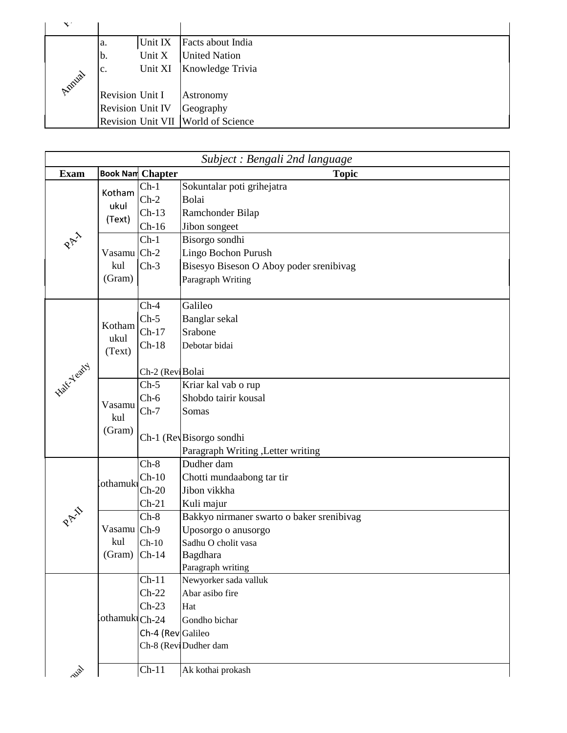| $\mathbf{X}^*$ |                                    |                      |
|----------------|------------------------------------|----------------------|
|                | Unit IX<br>a.                      | Facts about India    |
|                | Unit X<br>Ib.                      | <b>United Nation</b> |
|                | Unit XI<br>c.                      | Knowledge Trivia     |
| Amilal         |                                    |                      |
|                | Revision Unit I                    | Astronomy            |
|                | <b>Revision Unit IV</b>            | Geography            |
|                | Revision Unit VII World of Science |                      |

| Subject : Bengali 2nd language |                |                         |                                           |
|--------------------------------|----------------|-------------------------|-------------------------------------------|
| <b>Exam</b>                    |                | <b>Book Nam Chapter</b> | <b>Topic</b>                              |
|                                | Kotham         | $Ch-1$                  | Sokuntalar poti grihejatra                |
|                                | ukul           | $Ch-2$                  | Bolai                                     |
|                                | (Text)         | $Ch-13$                 | Ramchonder Bilap                          |
|                                |                | $Ch-16$                 | Jibon songeet                             |
| PAI                            |                | $Ch-1$                  | Bisorgo sondhi                            |
|                                | Vasamu Ch-2    |                         | Lingo Bochon Purush                       |
|                                | kul            | $Ch-3$                  | Bisesyo Biseson O Aboy poder srenibivag   |
|                                | (Gram)         |                         | Paragraph Writing                         |
|                                |                |                         |                                           |
|                                |                | $Ch-4$                  | Galileo                                   |
|                                | Kotham         | $Ch-5$                  | Banglar sekal                             |
|                                | ukul           | $Ch-17$                 | Srabone                                   |
|                                | (Text)         | $Ch-18$                 | Debotar bidai                             |
|                                |                |                         |                                           |
| <b>Half-Yeary</b>              |                | Ch-2 (ReviBolai         |                                           |
|                                |                | $Ch-5$                  | Kriar kal vab o rup                       |
|                                | Vasamu         | $Ch-6$                  | Shobdo tairir kousal                      |
|                                | kul            | $Ch-7$                  | Somas                                     |
|                                | (Gram)         |                         |                                           |
|                                |                |                         | Ch-1 (RevBisorgo sondhi                   |
|                                |                |                         | Paragraph Writing , Letter writing        |
|                                |                | $Ch-8$                  | Dudher dam                                |
|                                | lothamuki      | $Ch-10$                 | Chotti mundaabong tar tir                 |
|                                |                | $Ch-20$                 | Jibon vikkha                              |
|                                |                | $Ch-21$                 | Kuli majur                                |
|                                |                | $Ch-8$                  | Bakkyo nirmaner swarto o baker srenibivag |
|                                | Vasamu Ch-9    |                         | Uposorgo o anusorgo                       |
|                                | kul            | $Ch-10$                 | Sadhu O cholit vasa                       |
|                                | $(Gram)$ Ch-14 |                         | Bagdhara                                  |
|                                |                | $Ch-11$                 | Paragraph writing                         |
|                                |                |                         | Newyorker sada valluk<br>Abar asibo fire  |
|                                |                | $Ch-22$                 |                                           |
|                                | othamukiCh-24  | $Ch-23$                 | Hat                                       |
|                                |                |                         | Gondho bichar                             |
|                                |                | Ch-4 (Rev Galileo       | Ch-8 (Revi Dudher dam                     |
|                                |                |                         |                                           |
| ~13p1                          |                | $Ch-11$                 | Ak kothai prokash                         |